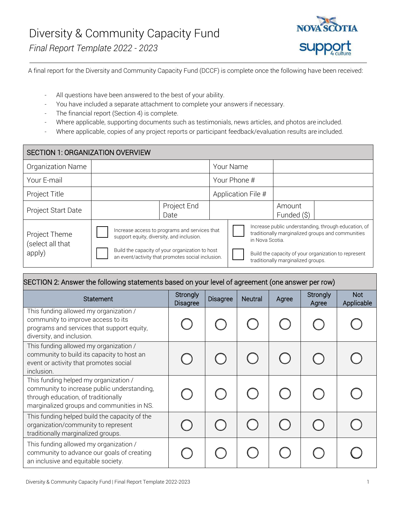

A final report for the Diversity and Community Capacity Fund (DCCF) is complete once the following have been received:

- All questions have been answered to the best of your ability.
- You have included a separate attachment to complete your answers if necessary.
- The financial report (Section 4) is complete.
- Where applicable, supporting documents such as testimonials, news articles, and photos are included.
- Where applicable, copies of any project reports or participant feedback/evaluation results are included.

| <b>SECTION 1: ORGANIZATION OVERVIEW</b>     |                                                                                                                                                                                                    |                     |  |                    |                                                                                                                                                                                                                            |                       |  |
|---------------------------------------------|----------------------------------------------------------------------------------------------------------------------------------------------------------------------------------------------------|---------------------|--|--------------------|----------------------------------------------------------------------------------------------------------------------------------------------------------------------------------------------------------------------------|-----------------------|--|
| Organization Name                           |                                                                                                                                                                                                    |                     |  | Your Name          |                                                                                                                                                                                                                            |                       |  |
| Your E-mail                                 |                                                                                                                                                                                                    |                     |  | Your Phone #       |                                                                                                                                                                                                                            |                       |  |
| Project Title                               |                                                                                                                                                                                                    |                     |  | Application File # |                                                                                                                                                                                                                            |                       |  |
| Project Start Date                          |                                                                                                                                                                                                    | Project End<br>Date |  |                    |                                                                                                                                                                                                                            | Amount<br>Funded (\$) |  |
| Project Theme<br>(select all that<br>apply) | Increase access to programs and services that<br>support equity, diversity, and inclusion.<br>Build the capacity of your organization to host<br>an event/activity that promotes social inclusion. |                     |  |                    | Increase public understanding, through education, of<br>traditionally marginalized groups and communities<br>in Nova Scotia.<br>Build the capacity of your organization to represent<br>traditionally marginalized groups. |                       |  |

#### SECTION 2: Answer the following statements based on your level of agreement (one answer per row)

| <b>Statement</b>                                                                                                                                                          | Strongly<br><b>Disagree</b> | <b>Disagree</b> | <b>Neutral</b> | Agree | Strongly<br>Agree | <b>Not</b><br>Applicable |
|---------------------------------------------------------------------------------------------------------------------------------------------------------------------------|-----------------------------|-----------------|----------------|-------|-------------------|--------------------------|
| This funding allowed my organization /<br>community to improve access to its<br>programs and services that support equity,<br>diversity, and inclusion.                   |                             |                 |                |       |                   |                          |
| This funding allowed my organization /<br>community to build its capacity to host an<br>event or activity that promotes social<br>inclusion.                              |                             |                 |                |       |                   |                          |
| This funding helped my organization /<br>community to increase public understanding,<br>through education, of traditionally<br>marginalized groups and communities in NS. |                             |                 |                |       |                   |                          |
| This funding helped build the capacity of the<br>organization/community to represent<br>traditionally marginalized groups.                                                |                             |                 |                |       |                   |                          |
| This funding allowed my organization /<br>community to advance our goals of creating<br>an inclusive and equitable society.                                               |                             |                 |                |       |                   |                          |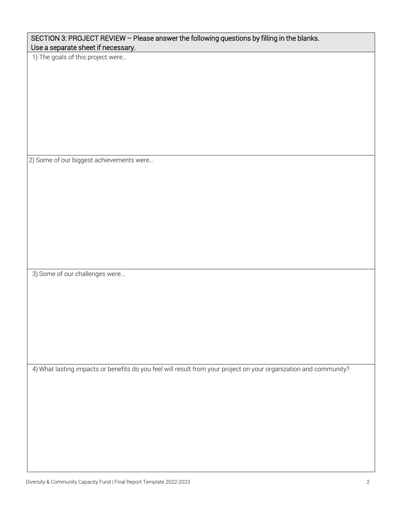| 2) Some of our biggest achievements were                                                                          |
|-------------------------------------------------------------------------------------------------------------------|
|                                                                                                                   |
|                                                                                                                   |
|                                                                                                                   |
|                                                                                                                   |
|                                                                                                                   |
| 3) Some of our challenges were                                                                                    |
|                                                                                                                   |
|                                                                                                                   |
|                                                                                                                   |
|                                                                                                                   |
| 4) What lasting impacts or benefits do you feel will result from your project on your organization and community? |
|                                                                                                                   |
|                                                                                                                   |
|                                                                                                                   |
|                                                                                                                   |
| Diversity & Community Capacity Fund   Final Report Template 2022-2023                                             |

SECTION 3: PROJECT REVIEW – Please answer the following questions by filling in the blanks.

Use a separate sheet if necessary. 1) The goals of this project were…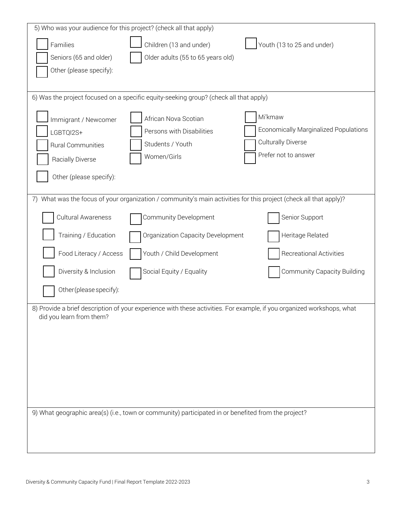| 5) Who was your audience for this project? (check all that apply)                                                                                  |                                                                                                                |                                              |  |  |
|----------------------------------------------------------------------------------------------------------------------------------------------------|----------------------------------------------------------------------------------------------------------------|----------------------------------------------|--|--|
| Families                                                                                                                                           | Children (13 and under)                                                                                        | Youth (13 to 25 and under)                   |  |  |
| Seniors (65 and older)                                                                                                                             | Older adults (55 to 65 years old)                                                                              |                                              |  |  |
| Other (please specify):                                                                                                                            |                                                                                                                |                                              |  |  |
|                                                                                                                                                    |                                                                                                                |                                              |  |  |
|                                                                                                                                                    | 6) Was the project focused on a specific equity-seeking group? (check all that apply)                          |                                              |  |  |
| Immigrant / Newcomer                                                                                                                               | African Nova Scotian                                                                                           | Mi'kmaw                                      |  |  |
| LGBTQI2S+                                                                                                                                          | Persons with Disabilities                                                                                      | <b>Economically Marginalized Populations</b> |  |  |
| Rural Communities                                                                                                                                  | Students / Youth                                                                                               | <b>Culturally Diverse</b>                    |  |  |
| Racially Diverse                                                                                                                                   | Women/Girls                                                                                                    | Prefer not to answer                         |  |  |
| Other (please specify):                                                                                                                            |                                                                                                                |                                              |  |  |
|                                                                                                                                                    | What was the focus of your organization / community's main activities for this project (check all that apply)? |                                              |  |  |
| Cultural Awareness                                                                                                                                 | Community Development                                                                                          | Senior Support                               |  |  |
| Training / Education                                                                                                                               | Organization Capacity Development                                                                              | Heritage Related                             |  |  |
| Food Literacy / Access                                                                                                                             | Youth / Child Development                                                                                      | Recreational Activities                      |  |  |
| Diversity & Inclusion                                                                                                                              | Social Equity / Equality                                                                                       | <b>Community Capacity Building</b>           |  |  |
| Other (please specify):                                                                                                                            |                                                                                                                |                                              |  |  |
| 8) Provide a brief description of your experience with these activities. For example, if you organized workshops, what<br>did you learn from them? |                                                                                                                |                                              |  |  |
|                                                                                                                                                    |                                                                                                                |                                              |  |  |
|                                                                                                                                                    |                                                                                                                |                                              |  |  |
|                                                                                                                                                    |                                                                                                                |                                              |  |  |
|                                                                                                                                                    |                                                                                                                |                                              |  |  |
|                                                                                                                                                    |                                                                                                                |                                              |  |  |
| 9) What geographic area(s) (i.e., town or community) participated in or benefited from the project?                                                |                                                                                                                |                                              |  |  |
|                                                                                                                                                    |                                                                                                                |                                              |  |  |
|                                                                                                                                                    |                                                                                                                |                                              |  |  |
|                                                                                                                                                    |                                                                                                                |                                              |  |  |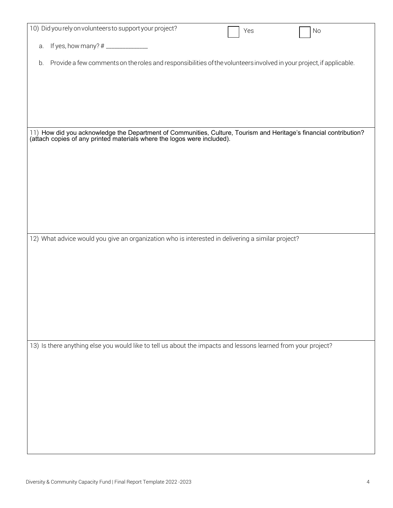|    | 10) Did you rely on volunteers to support your project?                                                                                                                                       | Yes | No |
|----|-----------------------------------------------------------------------------------------------------------------------------------------------------------------------------------------------|-----|----|
|    |                                                                                                                                                                                               |     |    |
| a. |                                                                                                                                                                                               |     |    |
|    |                                                                                                                                                                                               |     |    |
| b. | Provide a few comments on the roles and responsibilities of the volunteers involved in your project, if applicable.                                                                           |     |    |
|    |                                                                                                                                                                                               |     |    |
|    |                                                                                                                                                                                               |     |    |
|    |                                                                                                                                                                                               |     |    |
|    |                                                                                                                                                                                               |     |    |
|    |                                                                                                                                                                                               |     |    |
|    |                                                                                                                                                                                               |     |    |
|    |                                                                                                                                                                                               |     |    |
|    |                                                                                                                                                                                               |     |    |
|    | 11) How did you acknowledge the Department of Communities, Culture, Tourism and Heritage's financial contribution?<br>(attach copies of any printed materials where the logos were included). |     |    |
|    |                                                                                                                                                                                               |     |    |
|    |                                                                                                                                                                                               |     |    |
|    |                                                                                                                                                                                               |     |    |
|    |                                                                                                                                                                                               |     |    |
|    |                                                                                                                                                                                               |     |    |
|    |                                                                                                                                                                                               |     |    |
|    |                                                                                                                                                                                               |     |    |
|    |                                                                                                                                                                                               |     |    |
|    |                                                                                                                                                                                               |     |    |
|    |                                                                                                                                                                                               |     |    |
|    |                                                                                                                                                                                               |     |    |
|    | 12) What advice would you give an organization who is interested in delivering a similar project?                                                                                             |     |    |
|    |                                                                                                                                                                                               |     |    |
|    |                                                                                                                                                                                               |     |    |
|    |                                                                                                                                                                                               |     |    |
|    |                                                                                                                                                                                               |     |    |
|    |                                                                                                                                                                                               |     |    |
|    |                                                                                                                                                                                               |     |    |
|    |                                                                                                                                                                                               |     |    |
|    |                                                                                                                                                                                               |     |    |
|    |                                                                                                                                                                                               |     |    |
|    |                                                                                                                                                                                               |     |    |
|    |                                                                                                                                                                                               |     |    |
|    |                                                                                                                                                                                               |     |    |
|    | 13) Is there anything else you would like to tell us about the impacts and lessons learned from your project?                                                                                 |     |    |
|    |                                                                                                                                                                                               |     |    |
|    |                                                                                                                                                                                               |     |    |
|    |                                                                                                                                                                                               |     |    |
|    |                                                                                                                                                                                               |     |    |
|    |                                                                                                                                                                                               |     |    |
|    |                                                                                                                                                                                               |     |    |
|    |                                                                                                                                                                                               |     |    |
|    |                                                                                                                                                                                               |     |    |
|    |                                                                                                                                                                                               |     |    |
|    |                                                                                                                                                                                               |     |    |
|    |                                                                                                                                                                                               |     |    |
|    |                                                                                                                                                                                               |     |    |
|    |                                                                                                                                                                                               |     |    |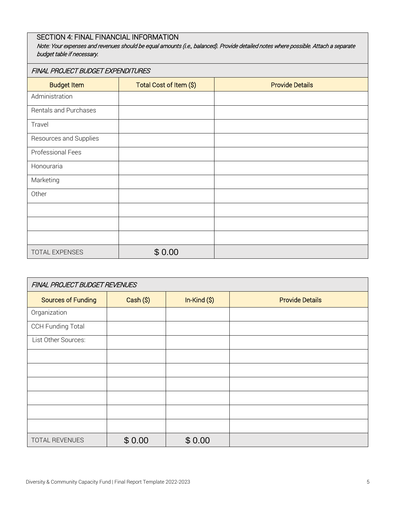# SECTION 4: FINAL FINANCIAL INFORMATION

Note: Your expenses and revenues should be equal amounts (i.e., balanced). Provide detailed notes where possible. Attach a separate budget table if necessary.

#### FINAL PROJECT BUDGET EXPENDITURES

| <b>Budget Item</b>     | Total Cost of Item (\$) | <b>Provide Details</b> |
|------------------------|-------------------------|------------------------|
| Administration         |                         |                        |
| Rentals and Purchases  |                         |                        |
| Travel                 |                         |                        |
| Resources and Supplies |                         |                        |
| Professional Fees      |                         |                        |
| Honouraria             |                         |                        |
| Marketing              |                         |                        |
| Other                  |                         |                        |
|                        |                         |                        |
|                        |                         |                        |
|                        |                         |                        |
| TOTAL EXPENSES         | \$0.00                  |                        |

| FINAL PROJECT BUDGET REVENUES |           |              |                        |  |  |
|-------------------------------|-----------|--------------|------------------------|--|--|
| <b>Sources of Funding</b>     | Cash (\$) | $In-Kind(S)$ | <b>Provide Details</b> |  |  |
| Organization                  |           |              |                        |  |  |
| <b>CCH Funding Total</b>      |           |              |                        |  |  |
| List Other Sources:           |           |              |                        |  |  |
|                               |           |              |                        |  |  |
|                               |           |              |                        |  |  |
|                               |           |              |                        |  |  |
|                               |           |              |                        |  |  |
|                               |           |              |                        |  |  |
|                               |           |              |                        |  |  |
| TOTAL REVENUES                | \$0.00    | \$0.00       |                        |  |  |